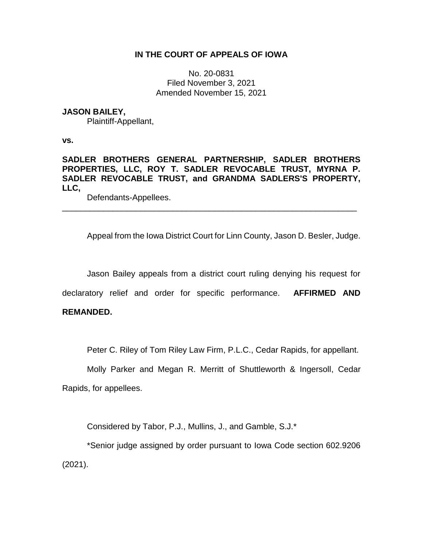# **IN THE COURT OF APPEALS OF IOWA**

No. 20-0831 Filed November 3, 2021 Amended November 15, 2021

## **JASON BAILEY,**

Plaintiff-Appellant,

**vs.**

**SADLER BROTHERS GENERAL PARTNERSHIP, SADLER BROTHERS PROPERTIES, LLC, ROY T. SADLER REVOCABLE TRUST, MYRNA P. SADLER REVOCABLE TRUST, and GRANDMA SADLERS'S PROPERTY, LLC,**

\_\_\_\_\_\_\_\_\_\_\_\_\_\_\_\_\_\_\_\_\_\_\_\_\_\_\_\_\_\_\_\_\_\_\_\_\_\_\_\_\_\_\_\_\_\_\_\_\_\_\_\_\_\_\_\_\_\_\_\_\_\_\_\_

Defendants-Appellees.

Appeal from the Iowa District Court for Linn County, Jason D. Besler, Judge.

Jason Bailey appeals from a district court ruling denying his request for

declaratory relief and order for specific performance. **AFFIRMED AND** 

## **REMANDED.**

Peter C. Riley of Tom Riley Law Firm, P.L.C., Cedar Rapids, for appellant.

Molly Parker and Megan R. Merritt of Shuttleworth & Ingersoll, Cedar Rapids, for appellees.

Considered by Tabor, P.J., Mullins, J., and Gamble, S.J.\*

\*Senior judge assigned by order pursuant to Iowa Code section 602.9206 (2021).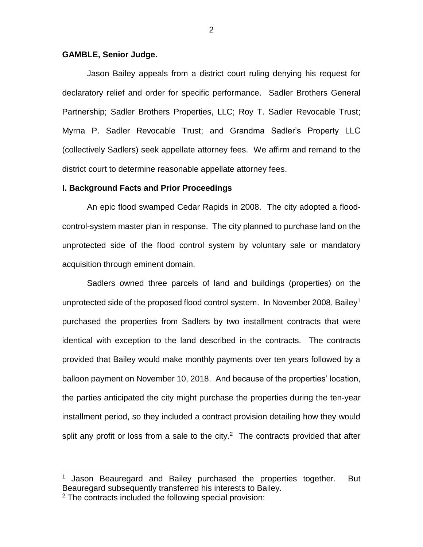### **GAMBLE, Senior Judge.**

 $\overline{a}$ 

Jason Bailey appeals from a district court ruling denying his request for declaratory relief and order for specific performance. Sadler Brothers General Partnership; Sadler Brothers Properties, LLC; Roy T. Sadler Revocable Trust; Myrna P. Sadler Revocable Trust; and Grandma Sadler's Property LLC (collectively Sadlers) seek appellate attorney fees. We affirm and remand to the district court to determine reasonable appellate attorney fees.

#### **I. Background Facts and Prior Proceedings**

An epic flood swamped Cedar Rapids in 2008. The city adopted a floodcontrol-system master plan in response. The city planned to purchase land on the unprotected side of the flood control system by voluntary sale or mandatory acquisition through eminent domain.

Sadlers owned three parcels of land and buildings (properties) on the unprotected side of the proposed flood control system. In November 2008, Bailey<sup>1</sup> purchased the properties from Sadlers by two installment contracts that were identical with exception to the land described in the contracts. The contracts provided that Bailey would make monthly payments over ten years followed by a balloon payment on November 10, 2018. And because of the properties' location, the parties anticipated the city might purchase the properties during the ten-year installment period, so they included a contract provision detailing how they would split any profit or loss from a sale to the city.<sup>2</sup> The contracts provided that after

<sup>1</sup> Jason Beauregard and Bailey purchased the properties together. But Beauregard subsequently transferred his interests to Bailey. <sup>2</sup> The contracts included the following special provision: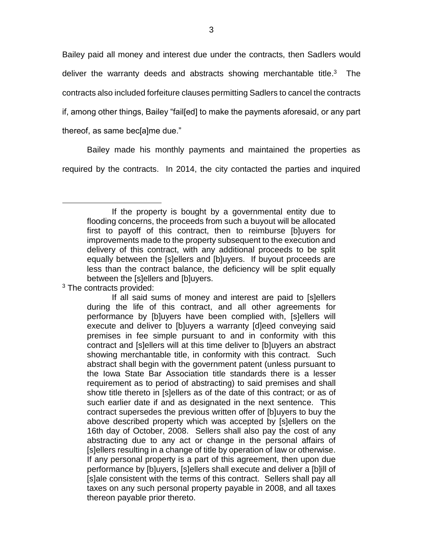Bailey paid all money and interest due under the contracts, then Sadlers would deliver the warranty deeds and abstracts showing merchantable title.<sup>3</sup> The contracts also included forfeiture clauses permitting Sadlers to cancel the contracts if, among other things, Bailey "fail[ed] to make the payments aforesaid, or any part thereof, as same bec[a]me due."

Bailey made his monthly payments and maintained the properties as required by the contracts. In 2014, the city contacted the parties and inquired

If the property is bought by a governmental entity due to flooding concerns, the proceeds from such a buyout will be allocated first to payoff of this contract, then to reimburse [b]uyers for improvements made to the property subsequent to the execution and delivery of this contract, with any additional proceeds to be split equally between the [s]ellers and [b]uyers. If buyout proceeds are less than the contract balance, the deficiency will be split equally between the [s]ellers and [b]uyers.

<sup>&</sup>lt;sup>3</sup> The contracts provided:

If all said sums of money and interest are paid to [s]ellers during the life of this contract, and all other agreements for performance by [b]uyers have been complied with, [s]ellers will execute and deliver to [b]uyers a warranty [d]eed conveying said premises in fee simple pursuant to and in conformity with this contract and [s]ellers will at this time deliver to [b]uyers an abstract showing merchantable title, in conformity with this contract. Such abstract shall begin with the government patent (unless pursuant to the Iowa State Bar Association title standards there is a lesser requirement as to period of abstracting) to said premises and shall show title thereto in [s]ellers as of the date of this contract; or as of such earlier date if and as designated in the next sentence. This contract supersedes the previous written offer of [b]uyers to buy the above described property which was accepted by [s]ellers on the 16th day of October, 2008. Sellers shall also pay the cost of any abstracting due to any act or change in the personal affairs of [s]ellers resulting in a change of title by operation of law or otherwise. If any personal property is a part of this agreement, then upon due performance by [b]uyers, [s]ellers shall execute and deliver a [b]ill of [s]ale consistent with the terms of this contract. Sellers shall pay all taxes on any such personal property payable in 2008, and all taxes thereon payable prior thereto.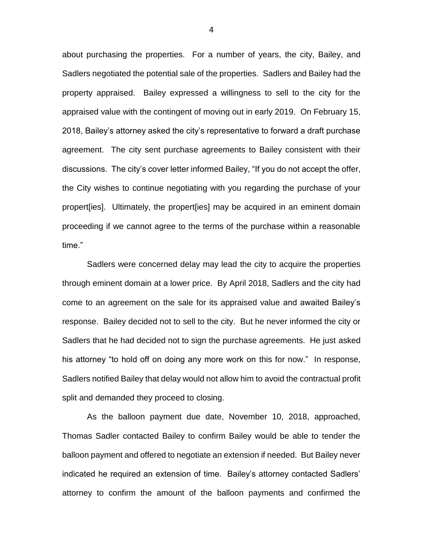about purchasing the properties. For a number of years, the city, Bailey, and Sadlers negotiated the potential sale of the properties. Sadlers and Bailey had the property appraised. Bailey expressed a willingness to sell to the city for the appraised value with the contingent of moving out in early 2019. On February 15, 2018, Bailey's attorney asked the city's representative to forward a draft purchase agreement. The city sent purchase agreements to Bailey consistent with their discussions. The city's cover letter informed Bailey, "If you do not accept the offer, the City wishes to continue negotiating with you regarding the purchase of your propert[ies]. Ultimately, the propert[ies] may be acquired in an eminent domain proceeding if we cannot agree to the terms of the purchase within a reasonable time."

Sadlers were concerned delay may lead the city to acquire the properties through eminent domain at a lower price. By April 2018, Sadlers and the city had come to an agreement on the sale for its appraised value and awaited Bailey's response. Bailey decided not to sell to the city. But he never informed the city or Sadlers that he had decided not to sign the purchase agreements. He just asked his attorney "to hold off on doing any more work on this for now." In response, Sadlers notified Bailey that delay would not allow him to avoid the contractual profit split and demanded they proceed to closing.

As the balloon payment due date, November 10, 2018, approached, Thomas Sadler contacted Bailey to confirm Bailey would be able to tender the balloon payment and offered to negotiate an extension if needed. But Bailey never indicated he required an extension of time. Bailey's attorney contacted Sadlers' attorney to confirm the amount of the balloon payments and confirmed the

4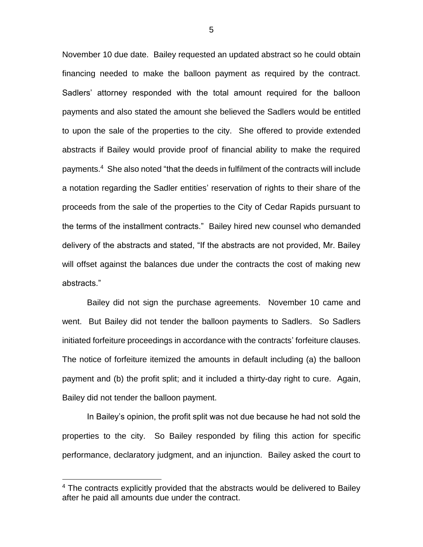November 10 due date. Bailey requested an updated abstract so he could obtain financing needed to make the balloon payment as required by the contract. Sadlers' attorney responded with the total amount required for the balloon payments and also stated the amount she believed the Sadlers would be entitled to upon the sale of the properties to the city. She offered to provide extended abstracts if Bailey would provide proof of financial ability to make the required payments.<sup>4</sup> She also noted "that the deeds in fulfilment of the contracts will include a notation regarding the Sadler entities' reservation of rights to their share of the proceeds from the sale of the properties to the City of Cedar Rapids pursuant to the terms of the installment contracts." Bailey hired new counsel who demanded delivery of the abstracts and stated, "If the abstracts are not provided, Mr. Bailey will offset against the balances due under the contracts the cost of making new abstracts."

Bailey did not sign the purchase agreements. November 10 came and went. But Bailey did not tender the balloon payments to Sadlers. So Sadlers initiated forfeiture proceedings in accordance with the contracts' forfeiture clauses. The notice of forfeiture itemized the amounts in default including (a) the balloon payment and (b) the profit split; and it included a thirty-day right to cure. Again, Bailey did not tender the balloon payment.

In Bailey's opinion, the profit split was not due because he had not sold the properties to the city. So Bailey responded by filing this action for specific performance, declaratory judgment, and an injunction. Bailey asked the court to

<sup>&</sup>lt;sup>4</sup> The contracts explicitly provided that the abstracts would be delivered to Bailey after he paid all amounts due under the contract.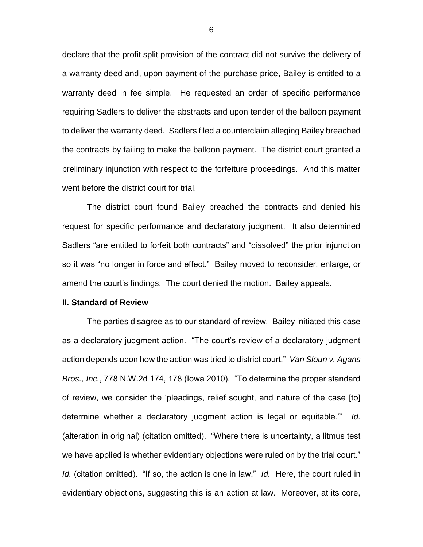declare that the profit split provision of the contract did not survive the delivery of a warranty deed and, upon payment of the purchase price, Bailey is entitled to a warranty deed in fee simple. He requested an order of specific performance requiring Sadlers to deliver the abstracts and upon tender of the balloon payment to deliver the warranty deed. Sadlers filed a counterclaim alleging Bailey breached the contracts by failing to make the balloon payment. The district court granted a preliminary injunction with respect to the forfeiture proceedings. And this matter went before the district court for trial.

The district court found Bailey breached the contracts and denied his request for specific performance and declaratory judgment. It also determined Sadlers "are entitled to forfeit both contracts" and "dissolved" the prior injunction so it was "no longer in force and effect." Bailey moved to reconsider, enlarge, or amend the court's findings. The court denied the motion. Bailey appeals.

#### **II. Standard of Review**

The parties disagree as to our standard of review. Bailey initiated this case as a declaratory judgment action. "The court's review of a declaratory judgment action depends upon how the action was tried to district court." *Van Sloun v. Agans Bros., Inc.*, 778 N.W.2d 174, 178 (Iowa 2010). "To determine the proper standard of review, we consider the 'pleadings, relief sought, and nature of the case [to] determine whether a declaratory judgment action is legal or equitable.'" *Id.* (alteration in original) (citation omitted). "Where there is uncertainty, a litmus test we have applied is whether evidentiary objections were ruled on by the trial court." *Id.* (citation omitted). "If so, the action is one in law." *Id.* Here, the court ruled in evidentiary objections, suggesting this is an action at law. Moreover, at its core,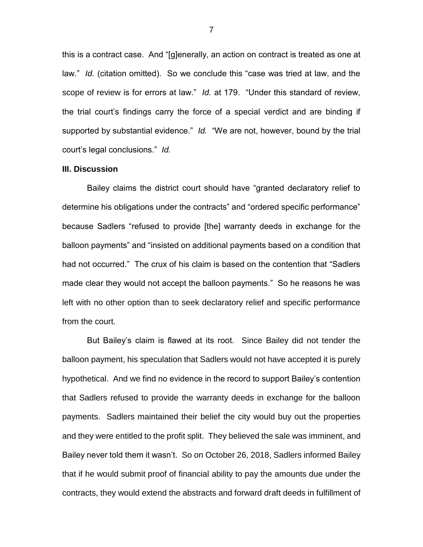this is a contract case. And "[g]enerally, an action on contract is treated as one at law." *Id.* (citation omitted). So we conclude this "case was tried at law, and the scope of review is for errors at law." *Id.* at 179. "Under this standard of review, the trial court's findings carry the force of a special verdict and are binding if supported by substantial evidence." *Id.* "We are not, however, bound by the trial court's legal conclusions." *Id.*

### **III. Discussion**

Bailey claims the district court should have "granted declaratory relief to determine his obligations under the contracts" and "ordered specific performance" because Sadlers "refused to provide [the] warranty deeds in exchange for the balloon payments" and "insisted on additional payments based on a condition that had not occurred." The crux of his claim is based on the contention that "Sadlers made clear they would not accept the balloon payments." So he reasons he was left with no other option than to seek declaratory relief and specific performance from the court.

But Bailey's claim is flawed at its root. Since Bailey did not tender the balloon payment, his speculation that Sadlers would not have accepted it is purely hypothetical. And we find no evidence in the record to support Bailey's contention that Sadlers refused to provide the warranty deeds in exchange for the balloon payments. Sadlers maintained their belief the city would buy out the properties and they were entitled to the profit split. They believed the sale was imminent, and Bailey never told them it wasn't. So on October 26, 2018, Sadlers informed Bailey that if he would submit proof of financial ability to pay the amounts due under the contracts, they would extend the abstracts and forward draft deeds in fulfillment of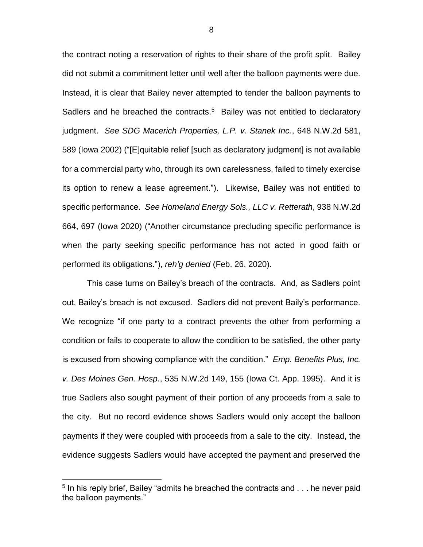the contract noting a reservation of rights to their share of the profit split. Bailey did not submit a commitment letter until well after the balloon payments were due. Instead, it is clear that Bailey never attempted to tender the balloon payments to Sadlers and he breached the contracts.<sup>5</sup> Bailey was not entitled to declaratory judgment. *See SDG Macerich Properties, L.P. v. Stanek Inc.*, 648 N.W.2d 581, 589 (Iowa 2002) ("[E]quitable relief [such as declaratory judgment] is not available for a commercial party who, through its own carelessness, failed to timely exercise its option to renew a lease agreement."). Likewise, Bailey was not entitled to specific performance. *See Homeland Energy Sols., LLC v. Retterath*, 938 N.W.2d 664, 697 (Iowa 2020) ("Another circumstance precluding specific performance is when the party seeking specific performance has not acted in good faith or performed its obligations."), *reh'g denied* (Feb. 26, 2020).

This case turns on Bailey's breach of the contracts. And, as Sadlers point out, Bailey's breach is not excused. Sadlers did not prevent Baily's performance. We recognize "if one party to a contract prevents the other from performing a condition or fails to cooperate to allow the condition to be satisfied, the other party is excused from showing compliance with the condition." *Emp. Benefits Plus, Inc. v. Des Moines Gen. Hosp.*, 535 N.W.2d 149, 155 (Iowa Ct. App. 1995). And it is true Sadlers also sought payment of their portion of any proceeds from a sale to the city. But no record evidence shows Sadlers would only accept the balloon payments if they were coupled with proceeds from a sale to the city. Instead, the evidence suggests Sadlers would have accepted the payment and preserved the

 $5$  In his reply brief, Bailey "admits he breached the contracts and  $\dots$  he never paid the balloon payments."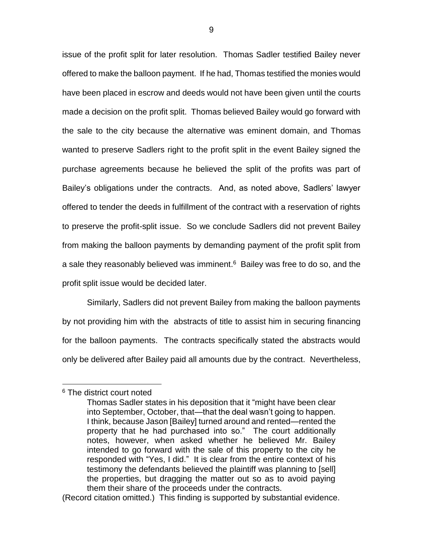issue of the profit split for later resolution. Thomas Sadler testified Bailey never offered to make the balloon payment. If he had, Thomas testified the monies would have been placed in escrow and deeds would not have been given until the courts made a decision on the profit split. Thomas believed Bailey would go forward with the sale to the city because the alternative was eminent domain, and Thomas wanted to preserve Sadlers right to the profit split in the event Bailey signed the purchase agreements because he believed the split of the profits was part of Bailey's obligations under the contracts. And, as noted above, Sadlers' lawyer offered to tender the deeds in fulfillment of the contract with a reservation of rights to preserve the profit-split issue. So we conclude Sadlers did not prevent Bailey from making the balloon payments by demanding payment of the profit split from a sale they reasonably believed was imminent.<sup>6</sup> Bailey was free to do so, and the profit split issue would be decided later.

Similarly, Sadlers did not prevent Bailey from making the balloon payments by not providing him with the abstracts of title to assist him in securing financing for the balloon payments. The contracts specifically stated the abstracts would only be delivered after Bailey paid all amounts due by the contract. Nevertheless,

<sup>6</sup> The district court noted

Thomas Sadler states in his deposition that it "might have been clear into September, October, that—that the deal wasn't going to happen. I think, because Jason [Bailey] turned around and rented—rented the property that he had purchased into so." The court additionally notes, however, when asked whether he believed Mr. Bailey intended to go forward with the sale of this property to the city he responded with "Yes, I did." It is clear from the entire context of his testimony the defendants believed the plaintiff was planning to [sell] the properties, but dragging the matter out so as to avoid paying them their share of the proceeds under the contracts.

<sup>(</sup>Record citation omitted.) This finding is supported by substantial evidence.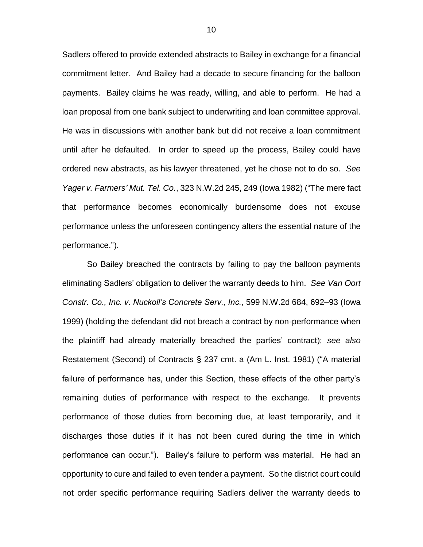Sadlers offered to provide extended abstracts to Bailey in exchange for a financial commitment letter. And Bailey had a decade to secure financing for the balloon payments. Bailey claims he was ready, willing, and able to perform. He had a loan proposal from one bank subject to underwriting and loan committee approval. He was in discussions with another bank but did not receive a loan commitment until after he defaulted. In order to speed up the process, Bailey could have ordered new abstracts, as his lawyer threatened, yet he chose not to do so. *See Yager v. Farmers' Mut. Tel. Co.*, 323 N.W.2d 245, 249 (Iowa 1982) ("The mere fact that performance becomes economically burdensome does not excuse performance unless the unforeseen contingency alters the essential nature of the performance.").

So Bailey breached the contracts by failing to pay the balloon payments eliminating Sadlers' obligation to deliver the warranty deeds to him. *See Van Oort Constr. Co., Inc. v. Nuckoll's Concrete Serv., Inc.*, 599 N.W.2d 684, 692–93 (Iowa 1999) (holding the defendant did not breach a contract by non-performance when the plaintiff had already materially breached the parties' contract); *see also* Restatement (Second) of Contracts § 237 cmt. a (Am L. Inst. 1981) ("A material failure of performance has, under this Section, these effects of the other party's remaining duties of performance with respect to the exchange. It prevents performance of those duties from becoming due, at least temporarily, and it discharges those duties if it has not been cured during the time in which performance can occur."). Bailey's failure to perform was material. He had an opportunity to cure and failed to even tender a payment. So the district court could not order specific performance requiring Sadlers deliver the warranty deeds to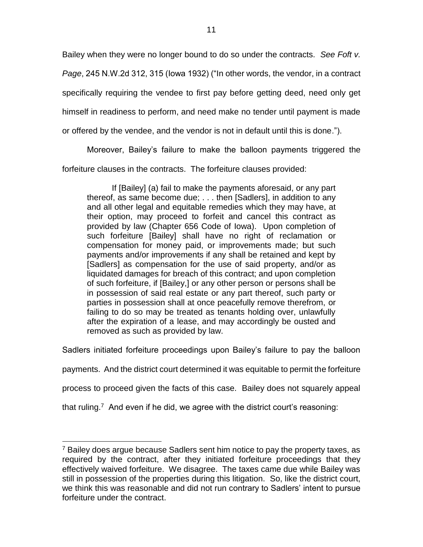Bailey when they were no longer bound to do so under the contracts. *See Foft v.* 

*Page*, 245 N.W.2d 312, 315 (Iowa 1932) ("In other words, the vendor, in a contract

specifically requiring the vendee to first pay before getting deed, need only get

himself in readiness to perform, and need make no tender until payment is made

or offered by the vendee, and the vendor is not in default until this is done.").

Moreover, Bailey's failure to make the balloon payments triggered the

forfeiture clauses in the contracts. The forfeiture clauses provided:

If [Bailey] (a) fail to make the payments aforesaid, or any part thereof, as same become due; . . . then [Sadlers], in addition to any and all other legal and equitable remedies which they may have, at their option, may proceed to forfeit and cancel this contract as provided by law (Chapter 656 Code of Iowa). Upon completion of such forfeiture [Bailey] shall have no right of reclamation or compensation for money paid, or improvements made; but such payments and/or improvements if any shall be retained and kept by [Sadlers] as compensation for the use of said property, and/or as liquidated damages for breach of this contract; and upon completion of such forfeiture, if [Bailey,] or any other person or persons shall be in possession of said real estate or any part thereof, such party or parties in possession shall at once peacefully remove therefrom, or failing to do so may be treated as tenants holding over, unlawfully after the expiration of a lease, and may accordingly be ousted and removed as such as provided by law.

Sadlers initiated forfeiture proceedings upon Bailey's failure to pay the balloon

payments. And the district court determined it was equitable to permit the forfeiture

process to proceed given the facts of this case. Bailey does not squarely appeal

that ruling.<sup>7</sup> And even if he did, we agree with the district court's reasoning:

<sup>&</sup>lt;sup>7</sup> Bailey does argue because Sadlers sent him notice to pay the property taxes, as required by the contract, after they initiated forfeiture proceedings that they effectively waived forfeiture. We disagree. The taxes came due while Bailey was still in possession of the properties during this litigation. So, like the district court, we think this was reasonable and did not run contrary to Sadlers' intent to pursue forfeiture under the contract.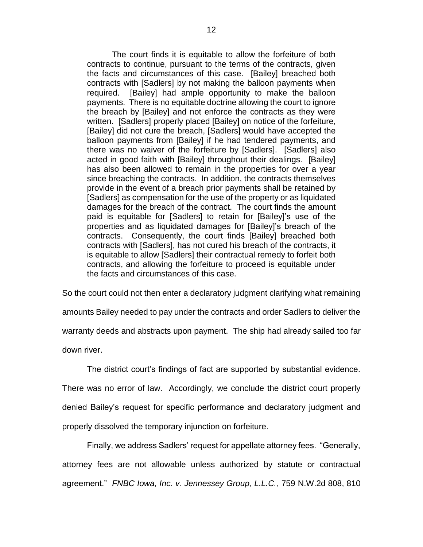The court finds it is equitable to allow the forfeiture of both contracts to continue, pursuant to the terms of the contracts, given the facts and circumstances of this case. [Bailey] breached both contracts with [Sadlers] by not making the balloon payments when required. [Bailey] had ample opportunity to make the balloon payments. There is no equitable doctrine allowing the court to ignore the breach by [Bailey] and not enforce the contracts as they were written. [Sadlers] properly placed [Bailey] on notice of the forfeiture, [Bailey] did not cure the breach, [Sadlers] would have accepted the balloon payments from [Bailey] if he had tendered payments, and there was no waiver of the forfeiture by [Sadlers]. [Sadlers] also acted in good faith with [Bailey] throughout their dealings. [Bailey] has also been allowed to remain in the properties for over a year since breaching the contracts. In addition, the contracts themselves provide in the event of a breach prior payments shall be retained by [Sadlers] as compensation for the use of the property or as liquidated damages for the breach of the contract. The court finds the amount paid is equitable for [Sadlers] to retain for [Bailey]'s use of the properties and as liquidated damages for [Bailey]'s breach of the contracts. Consequently, the court finds [Bailey] breached both contracts with [Sadlers], has not cured his breach of the contracts, it is equitable to allow [Sadlers] their contractual remedy to forfeit both contracts, and allowing the forfeiture to proceed is equitable under the facts and circumstances of this case.

So the court could not then enter a declaratory judgment clarifying what remaining amounts Bailey needed to pay under the contracts and order Sadlers to deliver the warranty deeds and abstracts upon payment. The ship had already sailed too far down river.

The district court's findings of fact are supported by substantial evidence. There was no error of law. Accordingly, we conclude the district court properly denied Bailey's request for specific performance and declaratory judgment and properly dissolved the temporary injunction on forfeiture.

Finally, we address Sadlers' request for appellate attorney fees. "Generally, attorney fees are not allowable unless authorized by statute or contractual agreement." *FNBC Iowa, Inc. v. Jennessey Group, L.L.C.*, 759 N.W.2d 808, 810